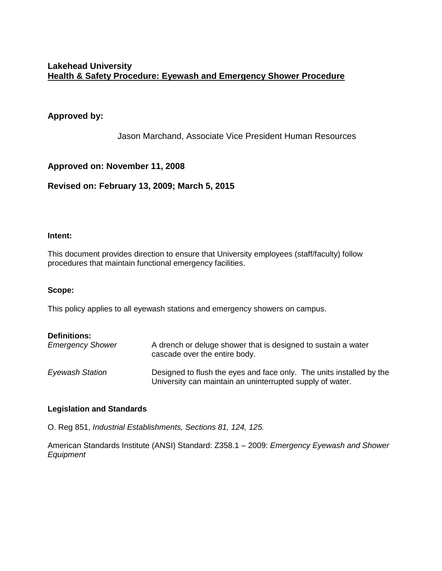## **Approved by:**

Jason Marchand, Associate Vice President Human Resources

## **Approved on: November 11, 2008**

## **Revised on: February 13, 2009; March 5, 2015**

#### **Intent:**

This document provides direction to ensure that University employees (staff/faculty) follow procedures that maintain functional emergency facilities.

#### **Scope:**

This policy applies to all eyewash stations and emergency showers on campus.

| <b>Definitions:</b>     | A drench or deluge shower that is designed to sustain a water                                                                     |
|-------------------------|-----------------------------------------------------------------------------------------------------------------------------------|
| <b>Emergency Shower</b> | cascade over the entire body.                                                                                                     |
| <b>Eyewash Station</b>  | Designed to flush the eyes and face only. The units installed by the<br>University can maintain an uninterrupted supply of water. |

#### **Legislation and Standards**

O. Reg 851, *Industrial Establishments, Sections 81, 124, 125.*

American Standards Institute (ANSI) Standard: Z358.1 – 2009: *Emergency Eyewash and Shower Equipment*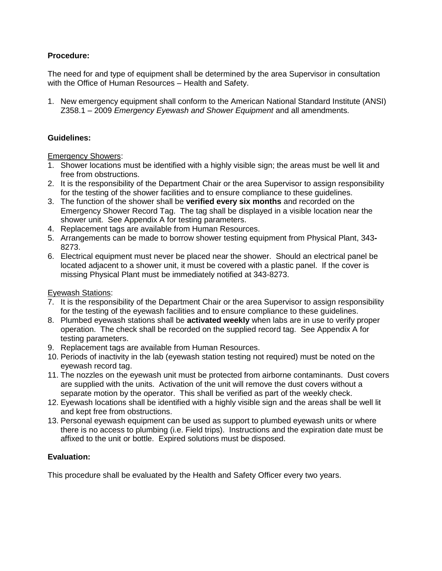## **Procedure:**

The need for and type of equipment shall be determined by the area Supervisor in consultation with the Office of Human Resources – Health and Safety.

1. New emergency equipment shall conform to the American National Standard Institute (ANSI) Z358.1 – 2009 *Emergency Eyewash and Shower Equipment* and all amendments.

#### **Guidelines:**

#### Emergency Showers:

- 1. Shower locations must be identified with a highly visible sign; the areas must be well lit and free from obstructions.
- 2. It is the responsibility of the Department Chair or the area Supervisor to assign responsibility for the testing of the shower facilities and to ensure compliance to these guidelines.
- 3. The function of the shower shall be **verified every six months** and recorded on the Emergency Shower Record Tag. The tag shall be displayed in a visible location near the shower unit. See Appendix A for testing parameters.
- 4. Replacement tags are available from Human Resources.
- 5. Arrangements can be made to borrow shower testing equipment from Physical Plant, 343**-** 8273.
- 6. Electrical equipment must never be placed near the shower. Should an electrical panel be located adjacent to a shower unit, it must be covered with a plastic panel. If the cover is missing Physical Plant must be immediately notified at 343-8273.

#### **Eyewash Stations:**

- 7. It is the responsibility of the Department Chair or the area Supervisor to assign responsibility for the testing of the eyewash facilities and to ensure compliance to these guidelines.
- 8. Plumbed eyewash stations shall be **activated weekly** when labs are in use to verify proper operation. The check shall be recorded on the supplied record tag. See Appendix A for testing parameters.
- 9. Replacement tags are available from Human Resources.
- 10. Periods of inactivity in the lab (eyewash station testing not required) must be noted on the eyewash record tag.
- 11. The nozzles on the eyewash unit must be protected from airborne contaminants. Dust covers are supplied with the units. Activation of the unit will remove the dust covers without a separate motion by the operator. This shall be verified as part of the weekly check.
- 12. Eyewash locations shall be identified with a highly visible sign and the areas shall be well lit and kept free from obstructions.
- 13. Personal eyewash equipment can be used as support to plumbed eyewash units or where there is no access to plumbing (i.e. Field trips). Instructions and the expiration date must be affixed to the unit or bottle. Expired solutions must be disposed.

#### **Evaluation:**

This procedure shall be evaluated by the Health and Safety Officer every two years.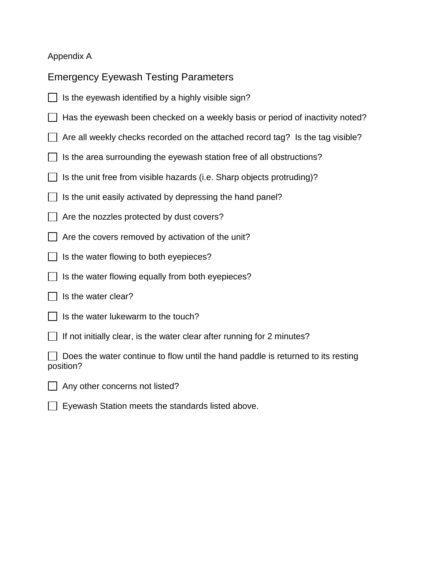## Appendix A

Emergency Eyewash Testing Parameters

- $\Box$  Is the eyewash identified by a highly visible sign?
- $\Box$  Has the eyewash been checked on a weekly basis or period of inactivity noted?
- $\Box$  Are all weekly checks recorded on the attached record tag? Is the tag visible?
- $\Box$  Is the area surrounding the eyewash station free of all obstructions?
- $\Box$  Is the unit free from visible hazards (i.e. Sharp objects protruding)?
- $\Box$  Is the unit easily activated by depressing the hand panel?
- $\Box$  Are the nozzles protected by dust covers?
- $\Box$  Are the covers removed by activation of the unit?
- $\Box$  Is the water flowing to both eyepieces?
- $\Box$  Is the water flowing equally from both eyepieces?
- $\Box$  Is the water clear?
- $\vert \ \vert$  is the water lukewarm to the touch?
- If not initially clear, is the water clear after running for 2 minutes?

 $\Box$  Does the water continue to flow until the hand paddle is returned to its resting position?

- $\Box$  Any other concerns not listed?
- $\Box$  Eyewash Station meets the standards listed above.